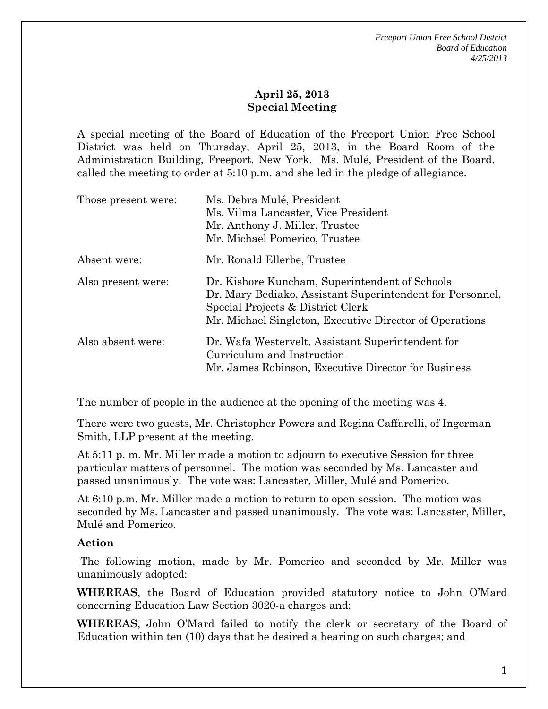## **April 25, 2013 Special Meeting**

A special meeting of the Board of Education of the Freeport Union Free School District was held on Thursday, April 25, 2013, in the Board Room of the Administration Building, Freeport, New York. Ms. Mulé, President of the Board, called the meeting to order at 5:10 p.m. and she led in the pledge of allegiance.

| Those present were: | Ms. Debra Mulé, President<br>Ms. Vilma Lancaster, Vice President<br>Mr. Anthony J. Miller, Trustee<br>Mr. Michael Pomerico, Trustee                                                                         |
|---------------------|-------------------------------------------------------------------------------------------------------------------------------------------------------------------------------------------------------------|
| Absent were:        | Mr. Ronald Ellerbe, Trustee                                                                                                                                                                                 |
| Also present were:  | Dr. Kishore Kuncham, Superintendent of Schools<br>Dr. Mary Bediako, Assistant Superintendent for Personnel,<br>Special Projects & District Clerk<br>Mr. Michael Singleton, Executive Director of Operations |
| Also absent were:   | Dr. Wafa Westervelt, Assistant Superintendent for<br>Curriculum and Instruction<br>Mr. James Robinson, Executive Director for Business                                                                      |

The number of people in the audience at the opening of the meeting was 4.

There were two guests, Mr. Christopher Powers and Regina Caffarelli, of Ingerman Smith, LLP present at the meeting.

At 5:11 p. m. Mr. Miller made a motion to adjourn to executive Session for three particular matters of personnel. The motion was seconded by Ms. Lancaster and passed unanimously. The vote was: Lancaster, Miller, Mulé and Pomerico.

At 6:10 p.m. Mr. Miller made a motion to return to open session. The motion was seconded by Ms. Lancaster and passed unanimously. The vote was: Lancaster, Miller, Mulé and Pomerico.

## **Action**

 The following motion, made by Mr. Pomerico and seconded by Mr. Miller was unanimously adopted:

**WHEREAS**, the Board of Education provided statutory notice to John O'Mard concerning Education Law Section 3020-a charges and;

**WHEREAS**, John O'Mard failed to notify the clerk or secretary of the Board of Education within ten (10) days that he desired a hearing on such charges; and